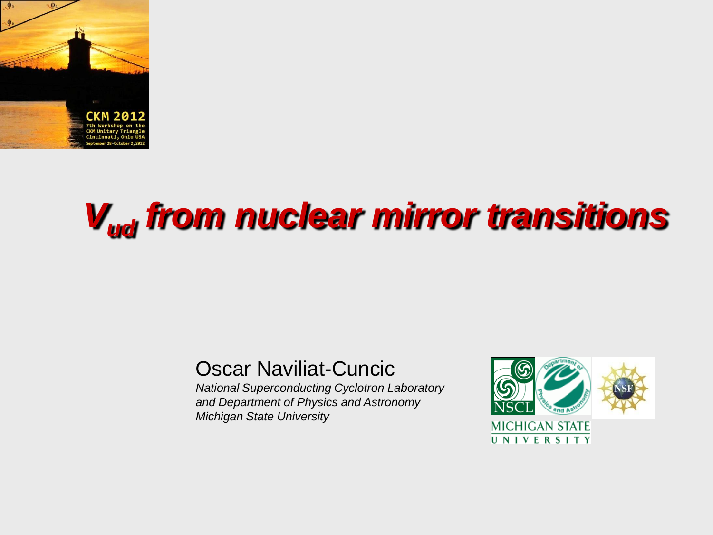

# *Vud from nuclear mirror transitions*

#### Oscar Naviliat-Cuncic

*National Superconducting Cyclotron Laboratory and Department of Physics and Astronomy Michigan State University*

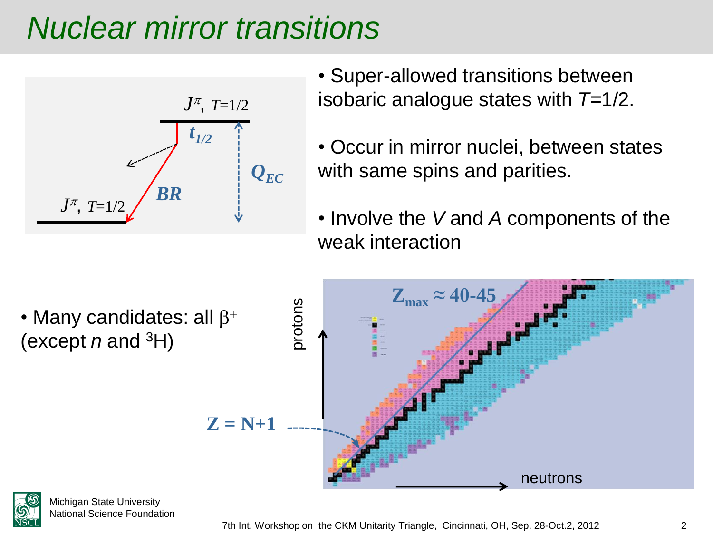## *Nuclear mirror transitions*



- Super-allowed transitions between isobaric analogue states with *T=*1/2.
- Occur in mirror nuclei, between states with same spins and parities.
- Involve the *V* and *A* components of the weak interaction



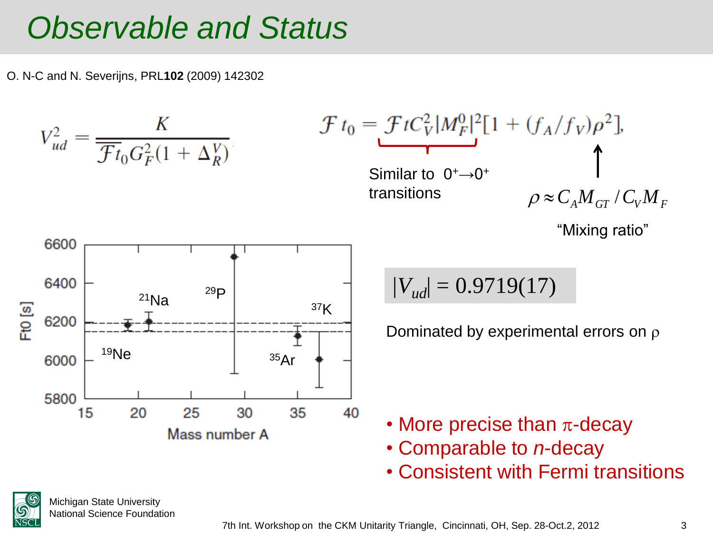#### *Observable and Status*

O. N-C and N. Severijns, PRL**102** (2009) 142302

$$
V_{ud}^2 = \frac{K}{\overline{\mathcal{F}t}_0 G_F^2 (1 + \Delta_R^V)}
$$

$$
\mathcal{F}t_0 = \underbrace{\mathcal{F}tC_V^2|M_F^0|^2[1 + (f_A/f_V)\rho^2]}_{\text{Similar to 0+-0+}}.
$$
\nSimilar to 0+-0<sup>+</sup>

\n
$$
\rho \approx C_A M_{GT}/C_V M_F
$$

```
"Mixing ratio"
```


$$
|V_{ud}| = 0.9719(17)
$$

Dominated by experimental errors on  $\rho$ 

- More precise than  $\pi$ -decay
- Comparable to *n*-decay
- Consistent with Fermi transitions

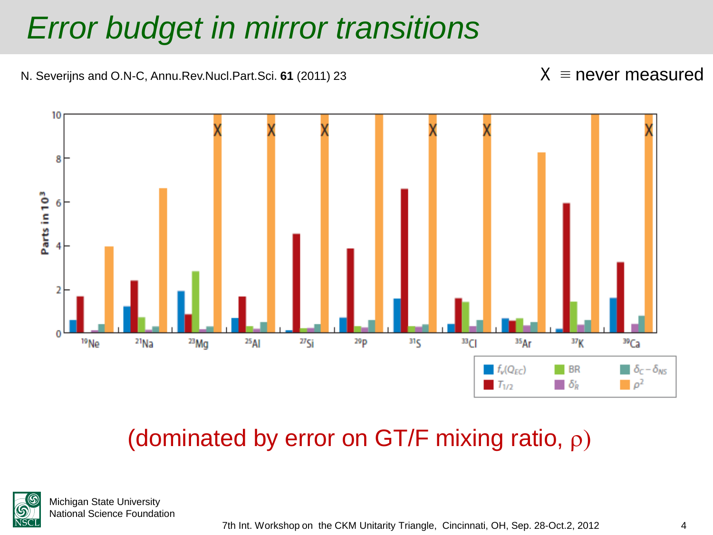### *Error budget in mirror transitions*

N. Severijns and O.N-C, Annu.Rev.Nucl.Part.Sci. **61** (2011) 23

 $X \equiv$  never measured



#### (dominated by error on GT/F mixing ratio,  $\rho$ )

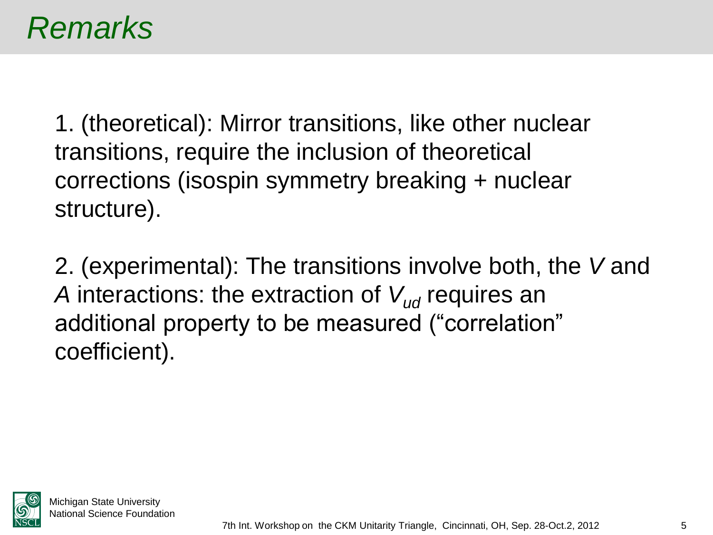#### *Remarks*

1. (theoretical): Mirror transitions, like other nuclear transitions, require the inclusion of theoretical corrections (isospin symmetry breaking + nuclear structure).

2. (experimental): The transitions involve both, the *V* and *A* interactions: the extraction of  $V_{ud}$  requires an additional property to be measured ("correlation" coefficient).

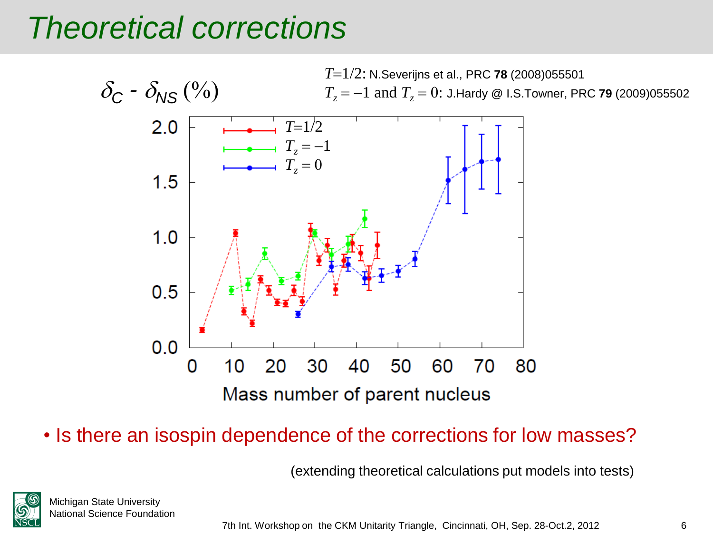### *Theoretical corrections*



• Is there an isospin dependence of the corrections for low masses?

(extending theoretical calculations put models into tests)

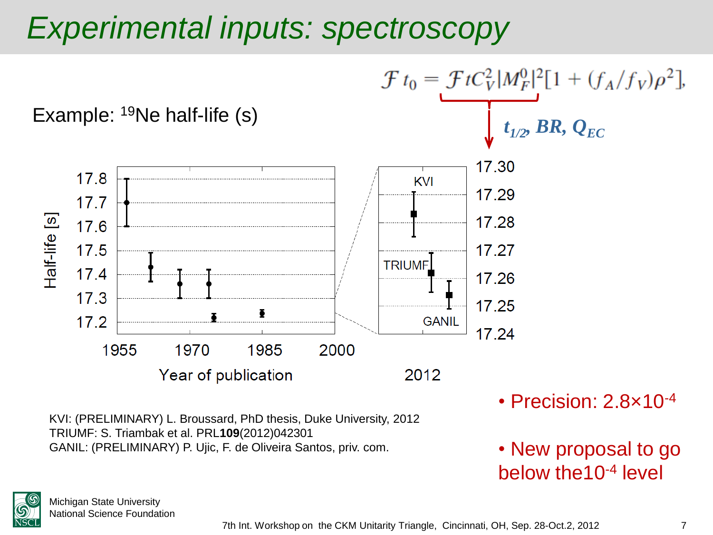### *Experimental inputs: spectroscopy*



• New proposal to go below the 10<sup>-4</sup> level



GANIL: (PRELIMINARY) P. Ujic, F. de Oliveira Santos, priv. com.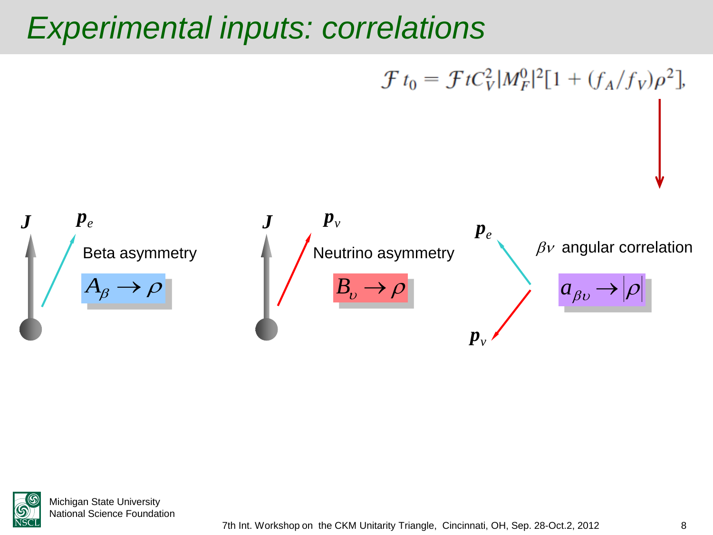#### *Experimental inputs: correlations*



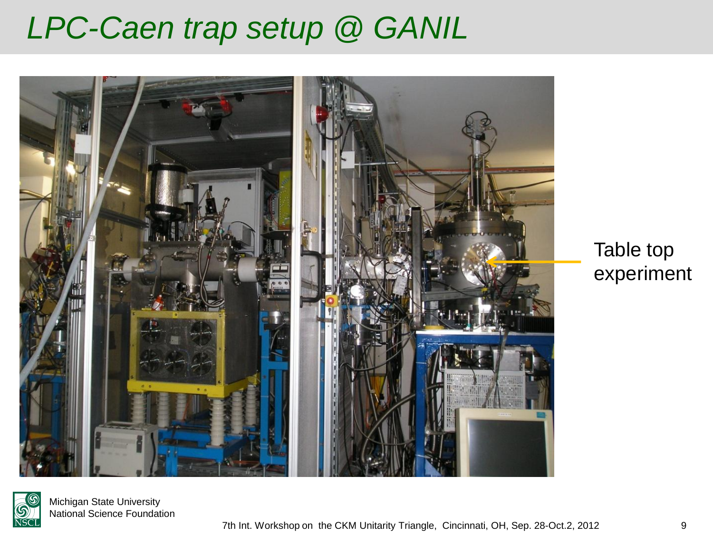#### *LPC-Caen trap setup @ GANIL*



#### Table top experiment

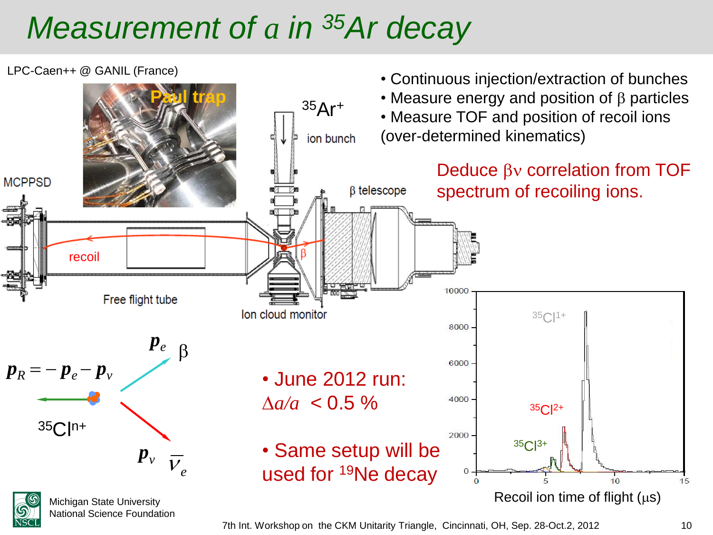## *Measurement of a in <sup>35</sup>Ar decay*

LPC-Caen++ @ GANIL (France)

National Science Foundation

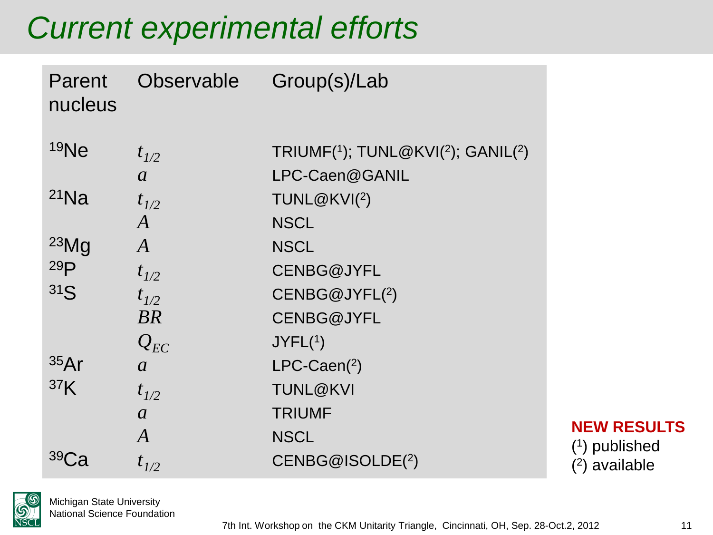#### *Current experimental efforts*

| Parent<br>nucleus | <b>Observable</b> | Group(s)/Lab                     |
|-------------------|-------------------|----------------------------------|
| <sup>19</sup> Ne  | $t_{1/2}$         | TRIUMF(1); TUNL@KVI(2); GANIL(2) |
|                   | $\mathfrak{a}$    | LPC-Caen@GANIL                   |
| $21$ Na           | $t_{1/2}$         | TUNL@KVI(2)                      |
|                   | $\overline{A}$    | <b>NSCL</b>                      |
| $^{23}$ Mg        | $\overline{A}$    | <b>NSCL</b>                      |
| 29P               | $t_{1/2}$         | CENBG@JYFL                       |
| 31S               | $t_{1/2}$         | CENBG@JYFL(2)                    |
|                   | <b>BR</b>         | CENBG@JYFL                       |
|                   | $Q_{EC}$          | JYFL(1)                          |
| 35Ar              | $\mathfrak{a}$    | $LPC-Caen(2)$                    |
| 37 <sub>K</sub>   | $t_{1/2}$         | <b>TUNL@KVI</b>                  |
|                   | $\boldsymbol{a}$  | <b>TRIUMF</b>                    |
|                   | $\overline{A}$    | <b>NSCL</b>                      |
| 39 <sub>C</sub>   | $t_{1/2}$         | CENBG@ISOLDE(2)                  |

**NEW RESULTS** ( 1 ) published ( 2 ) available